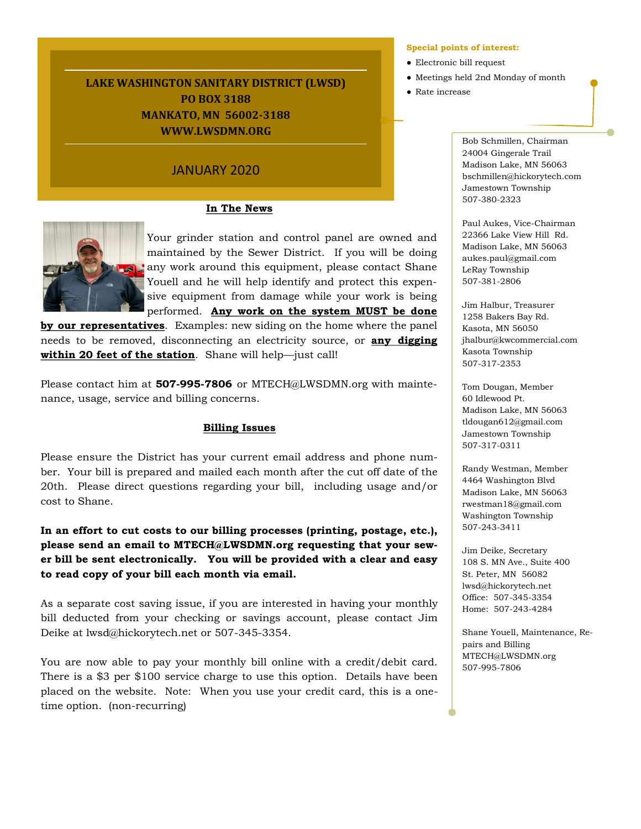# **LAKE WASHINGTON SANITARY DISTRICT (LWSD) PO BOX 3188 MANKATO, MN 56002-3188 WWW.LWSDMN.ORG**

# JANUARY 2020

# **In The News**



Your grinder station and control panel are owned and maintained by the Sewer District. If you will be doing any work around this equipment, please contact Shane Youell and he will help identify and protect this expensive equipment from damage while your work is being performed. **Any work on the system MUST be done** 

**by our representatives**. Examples: new siding on the home where the panel needs to be removed, disconnecting an electricity source, or **any digging within 20 feet of the station**. Shane will help—just call!

Please contact him at **507-995-7806** or MTECH@LWSDMN.org with maintenance, usage, service and billing concerns.

# **Billing Issues**

Please ensure the District has your current email address and phone number. Your bill is prepared and mailed each month after the cut off date of the 20th. Please direct questions regarding your bill, including usage and/or cost to Shane.

**In an effort to cut costs to our billing processes (printing, postage, etc.), please send an email to MTECH@LWSDMN.org requesting that your sewer bill be sent electronically. You will be provided with a clear and easy to read copy of your bill each month via email.**

As a separate cost saving issue, if you are interested in having your monthly bill deducted from your checking or savings account, please contact Jim Deike at lwsd@hickorytech.net or 507-345-3354.

You are now able to pay your monthly bill online with a credit/debit card. There is a \$3 per \$100 service charge to use this option. Details have been placed on the website. Note: When you use your credit card, this is a onetime option. (non-recurring)

#### **Special points of interest:**

- Electronic bill request
- Meetings held 2nd Monday of month
- Rate increase

Bob Schmillen, Chairman 24004 Gingerale Trail Madison Lake, MN 56063 bschmillen@hickorytech.com Jamestown Township 507-380-2323

Paul Aukes, Vice-Chairman 22366 Lake View Hill Rd. Madison Lake, MN 56063 aukes.paul@gmail.com LeRay Township 507-381-2806

Jim Halbur, Treasurer 1258 Bakers Bay Rd. Kasota, MN 56050 jhalbur@kwcommercial.com Kasota Township 507-317-2353

Tom Dougan, Member 60 Idlewood Pt. Madison Lake, MN 56063 tldougan612@gmail.com Jamestown Township 507-317-0311

Randy Westman, Member 4464 Washington Blvd Madison Lake, MN 56063 rwestman18@gmail.com Washington Township 507-243-3411

Jim Deike, Secretary 108 S. MN Ave., Suite 400 St. Peter, MN 56082 lwsd@hickorytech.net Office: 507-345-3354 Home: 507-243-4284

Shane Youell, Maintenance, Repairs and Billing MTECH@LWSDMN.org 507-995-7806